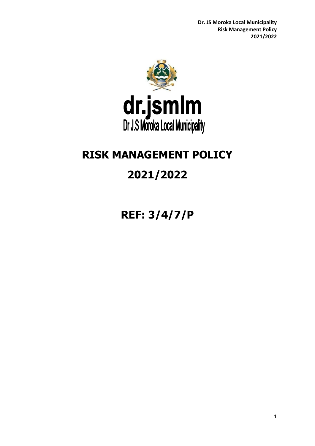

# **RISK MANAGEMENT POLICY**

# **2021/2022**

**REF: 3/4/7/P**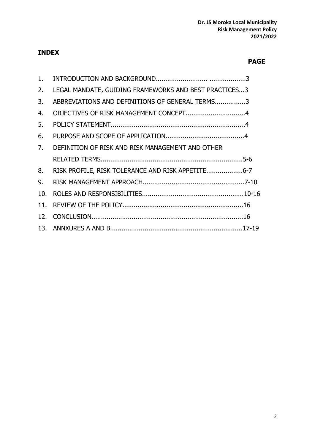#### **PAGE**

| 1.  |                                                       |  |
|-----|-------------------------------------------------------|--|
| 2.  | LEGAL MANDATE, GUIDING FRAMEWORKS AND BEST PRACTICES3 |  |
| 3.  | ABBREVIATIONS AND DEFINITIONS OF GENERAL TERMS3       |  |
| 4.  |                                                       |  |
| 5.  |                                                       |  |
| 6.  |                                                       |  |
| 7.  | DEFINITION OF RISK AND RISK MANAGEMENT AND OTHER      |  |
|     |                                                       |  |
| 8.  | RISK PROFILE, RISK TOLERANCE AND RISK APPETITE6-7     |  |
| 9.  |                                                       |  |
| 10. |                                                       |  |
|     |                                                       |  |
|     |                                                       |  |
|     |                                                       |  |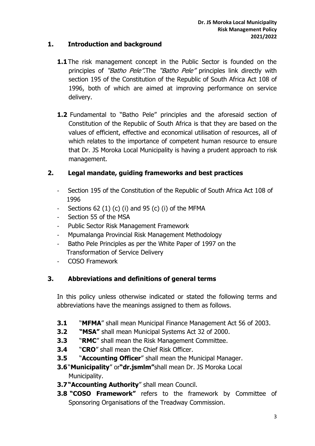# **1. Introduction and background**

- **1.1**The risk management concept in the Public Sector is founded on the principles of "*Batho Pele"*.The "*Batho Pele"* principles link directly with section 195 of the Constitution of the Republic of South Africa Act 108 of 1996, both of which are aimed at improving performance on service delivery.
- **1.2** Fundamental to "Batho Pele" principles and the aforesaid section of Constitution of the Republic of South Africa is that they are based on the values of efficient, effective and economical utilisation of resources, all of which relates to the importance of competent human resource to ensure that Dr. JS Moroka Local Municipality is having a prudent approach to risk management.

# **2. Legal mandate, guiding frameworks and best practices**

- Section 195 of the Constitution of the Republic of South Africa Act 108 of 1996
- Sections 62 (1) (c) (i) and 95 (c) (i) of the MFMA
- Section 55 of the MSA
- Public Sector Risk Management Framework
- Mpumalanga Provincial Risk Management Methodology
- Batho Pele Principles as per the White Paper of 1997 on the Transformation of Service Delivery
- COSO Framework

# **3. Abbreviations and definitions of general terms**

In this policy unless otherwise indicated or stated the following terms and abbreviations have the meanings assigned to them as follows.

- **3.1** "**MFMA**" shall mean Municipal Finance Management Act 56 of 2003.
- **3.2 "MSA"** shall mean Municipal Systems Act 32 of 2000.
- **3.3** "**RMC**" shall mean the Risk Management Committee.
- **3.4** "**CRO**" shall mean the Chief Risk Officer.
- **3.5** "**Accounting Officer**" shall mean the Municipal Manager.
- **3.6**"**Municipality**" or**"dr.jsmlm"**shall mean Dr. JS Moroka Local Municipality.
- **3.7"Accounting Authority**" shall mean Council.
- **3.8 "COSO Framework"** refers to the framework by Committee of Sponsoring Organisations of the Treadway Commission.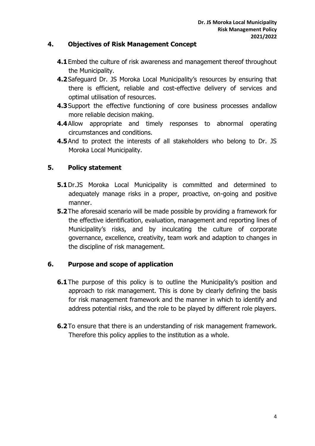#### **4. Objectives of Risk Management Concept**

- **4.1**Embed the culture of risk awareness and management thereof throughout the Municipality.
- **4.2**Safeguard Dr. JS Moroka Local Municipality's resources by ensuring that there is efficient, reliable and cost-effective delivery of services and optimal utilisation of resources.
- **4.3**Support the effective functioning of core business processes andallow more reliable decision making.
- **4.4**Allow appropriate and timely responses to abnormal operating circumstances and conditions.
- **4.5**And to protect the interests of all stakeholders who belong to Dr. JS Moroka Local Municipality.

# **5. Policy statement**

- **5.1**Dr.JS Moroka Local Municipality is committed and determined to adequately manage risks in a proper, proactive, on-going and positive manner.
- **5.2**The aforesaid scenario will be made possible by providing a framework for the effective identification, evaluation, management and reporting lines of Municipality's risks, and by inculcating the culture of corporate governance, excellence, creativity, team work and adaption to changes in the discipline of risk management.

#### **6. Purpose and scope of application**

- **6.1** The purpose of this policy is to outline the Municipality's position and approach to risk management. This is done by clearly defining the basis for risk management framework and the manner in which to identify and address potential risks, and the role to be played by different role players.
- **6.2**To ensure that there is an understanding of risk management framework. Therefore this policy applies to the institution as a whole.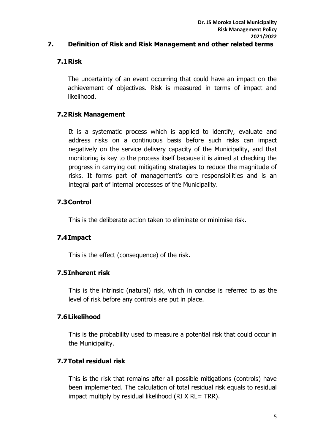#### **7. Definition of Risk and Risk Management and other related terms**

## **7.1Risk**

The uncertainty of an event occurring that could have an impact on the achievement of objectives. Risk is measured in terms of impact and likelihood.

#### **7.2Risk Management**

It is a systematic process which is applied to identify, evaluate and address risks on a continuous basis before such risks can impact negatively on the service delivery capacity of the Municipality, and that monitoring is key to the process itself because it is aimed at checking the progress in carrying out mitigating strategies to reduce the magnitude of risks. It forms part of management's core responsibilities and is an integral part of internal processes of the Municipality.

#### **7.3Control**

This is the deliberate action taken to eliminate or minimise risk.

# **7.4Impact**

This is the effect (consequence) of the risk.

# **7.5Inherent risk**

This is the intrinsic (natural) risk, which in concise is referred to as the level of risk before any controls are put in place.

# **7.6Likelihood**

This is the probability used to measure a potential risk that could occur in the Municipality.

# **7.7Total residual risk**

This is the risk that remains after all possible mitigations (controls) have been implemented. The calculation of total residual risk equals to residual impact multiply by residual likelihood (RI X RL= TRR).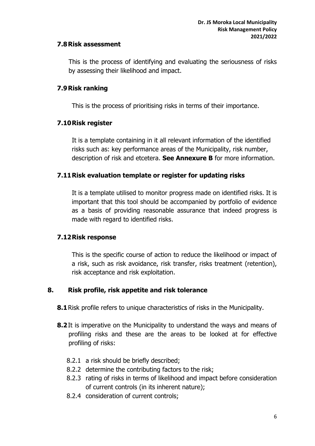#### **7.8Risk assessment**

This is the process of identifying and evaluating the seriousness of risks by assessing their likelihood and impact.

## **7.9Risk ranking**

This is the process of prioritising risks in terms of their importance.

#### **7.10Risk register**

It is a template containing in it all relevant information of the identified risks such as: key performance areas of the Municipality, risk number, description of risk and etcetera. **See Annexure B** for more information.

# **7.11Risk evaluation template or register for updating risks**

It is a template utilised to monitor progress made on identified risks. It is important that this tool should be accompanied by portfolio of evidence as a basis of providing reasonable assurance that indeed progress is made with regard to identified risks.

#### **7.12Risk response**

This is the specific course of action to reduce the likelihood or impact of a risk, such as risk avoidance, risk transfer, risks treatment (retention), risk acceptance and risk exploitation.

# **8. Risk profile, risk appetite and risk tolerance**

- **8.1** Risk profile refers to unique characteristics of risks in the Municipality.
- **8.2**It is imperative on the Municipality to understand the ways and means of profiling risks and these are the areas to be looked at for effective profiling of risks:
	- 8.2.1 a risk should be briefly described;
	- 8.2.2 determine the contributing factors to the risk;
	- 8.2.3 rating of risks in terms of likelihood and impact before consideration of current controls (in its inherent nature);
	- 8.2.4 consideration of current controls;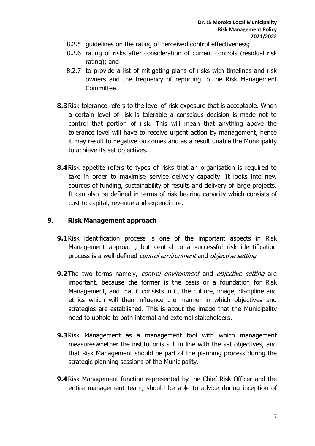- 8.2.5 quidelines on the rating of perceived control effectiveness:
- 8.2.6 rating of risks after consideration of current controls (residual risk rating); and
- 8.2.7 to provide a list of mitigating plans of risks with timelines and risk owners and the frequency of reporting to the Risk Management Committee.
- **8.3**Risk tolerance refers to the level of risk exposure that is acceptable. When a certain level of risk is tolerable a conscious decision is made not to control that portion of risk. This will mean that anything above the tolerance level will have to receive urgent action by management, hence it may result to negative outcomes and as a result unable the Municipality to achieve its set objectives.
- **8.4**Risk appetite refers to types of risks that an organisation is required to take in order to maximise service delivery capacity. It looks into new sources of funding, sustainability of results and delivery of large projects. It can also be defined in terms of risk bearing capacity which consists of cost to capital, revenue and expenditure.

# **9. Risk Management approach**

- **9.1**Risk identification process is one of the important aspects in Risk Management approach, but central to a successful risk identification process is a well-defined *control environment* and *objective setting*.
- **9.2** The two terms namely, control environment and objective setting are important, because the former is the basis or a foundation for Risk Management, and that it consists in it, the culture, image, discipline and ethics which will then influence the manner in which objectives and strategies are established. This is about the image that the Municipality need to uphold to both internal and external stakeholders.
- **9.3**Risk Management as a management tool with which management measureswhether the institutionis still in line with the set objectives, and that Risk Management should be part of the planning process during the strategic planning sessions of the Municipality.
- **9.4**Risk Management function represented by the Chief Risk Officer and the entire management team, should be able to advice during inception of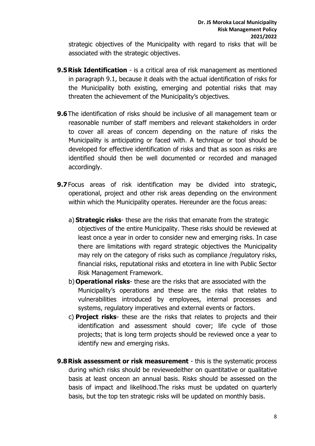strategic objectives of the Municipality with regard to risks that will be associated with the strategic objectives.

- **9.5Risk Identification** is a critical area of risk management as mentioned in paragraph 9.1, because it deals with the actual identification of risks for the Municipality both existing, emerging and potential risks that may threaten the achievement of the Municipality's objectives.
- **9.6**The identification of risks should be inclusive of all management team or reasonable number of staff members and relevant stakeholders in order to cover all areas of concern depending on the nature of risks the Municipality is anticipating or faced with. A technique or tool should be developed for effective identification of risks and that as soon as risks are identified should then be well documented or recorded and managed accordingly.
- **9.7**Focus areas of risk identification may be divided into strategic, operational, project and other risk areas depending on the environment within which the Municipality operates. Hereunder are the focus areas:
	- a) **Strategic risks** these are the risks that emanate from the strategic objectives of the entire Municipality. These risks should be reviewed at least once a year in order to consider new and emerging risks. In case there are limitations with regard strategic objectives the Municipality may rely on the category of risks such as compliance /regulatory risks, financial risks, reputational risks and etcetera in line with Public Sector Risk Management Framework.
	- b) **Operational risks** these are the risks that are associated with the Municipality's operations and these are the risks that relates to vulnerabilities introduced by employees, internal processes and systems, regulatory imperatives and external events or factors.
	- c) **Project risks** these are the risks that relates to projects and their identification and assessment should cover; life cycle of those projects; that is long term projects should be reviewed once a year to identify new and emerging risks.
- **9.8Risk assessment or risk measurement** this is the systematic process during which risks should be reviewedeither on quantitative or qualitative basis at least onceon an annual basis. Risks should be assessed on the basis of impact and likelihood.The risks must be updated on quarterly basis, but the top ten strategic risks will be updated on monthly basis.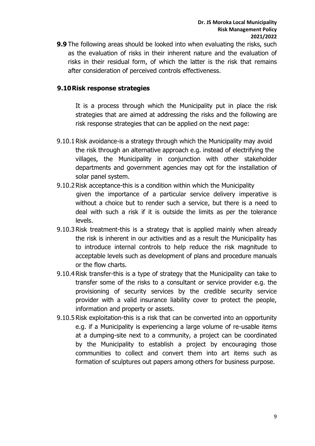**9.9** The following areas should be looked into when evaluating the risks, such as the evaluation of risks in their inherent nature and the evaluation of risks in their residual form, of which the latter is the risk that remains after consideration of perceived controls effectiveness.

#### **9.10Risk response strategies**

It is a process through which the Municipality put in place the risk strategies that are aimed at addressing the risks and the following are risk response strategies that can be applied on the next page:

- 9.10.1 Risk avoidance-is a strategy through which the Municipality may avoid the risk through an alternative approach e.g. instead of electrifying the villages, the Municipality in conjunction with other stakeholder departments and government agencies may opt for the installation of solar panel system.
- 9.10.2 Risk acceptance-this is a condition within which the Municipality given the importance of a particular service delivery imperative is without a choice but to render such a service, but there is a need to deal with such a risk if it is outside the limits as per the tolerance levels.
- 9.10.3 Risk treatment-this is a strategy that is applied mainly when already the risk is inherent in our activities and as a result the Municipality has to introduce internal controls to help reduce the risk magnitude to acceptable levels such as development of plans and procedure manuals or the flow charts.
- 9.10.4 Risk transfer-this is a type of strategy that the Municipality can take to transfer some of the risks to a consultant or service provider e.g. the provisioning of security services by the credible security service provider with a valid insurance liability cover to protect the people, information and property or assets.
- 9.10.5 Risk exploitation-this is a risk that can be converted into an opportunity e.g. if a Municipality is experiencing a large volume of re-usable items at a dumping-site next to a community, a project can be coordinated by the Municipality to establish a project by encouraging those communities to collect and convert them into art items such as formation of sculptures out papers among others for business purpose.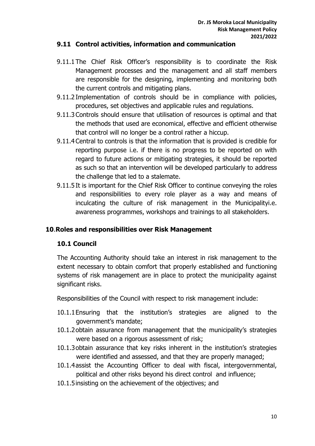#### **9.11 Control activities, information and communication**

- 9.11.1 The Chief Risk Officer's responsibility is to coordinate the Risk Management processes and the management and all staff members are responsible for the designing, implementing and monitoring both the current controls and mitigating plans.
- 9.11.2 Implementation of controls should be in compliance with policies, procedures, set objectives and applicable rules and regulations.
- 9.11.3 Controls should ensure that utilisation of resources is optimal and that the methods that used are economical, effective and efficient otherwise that control will no longer be a control rather a hiccup.
- 9.11.4 Central to controls is that the information that is provided is credible for reporting purpose i.e. if there is no progress to be reported on with regard to future actions or mitigating strategies, it should be reported as such so that an intervention will be developed particularly to address the challenge that led to a stalemate.
- 9.11.5 It is important for the Chief Risk Officer to continue conveying the roles and responsibilities to every role player as a way and means of inculcating the culture of risk management in the Municipalityi.e. awareness programmes, workshops and trainings to all stakeholders.

#### **10**.**Roles and responsibilities over Risk Management**

#### **10.1 Council**

The Accounting Authority should take an interest in risk management to the extent necessary to obtain comfort that properly established and functioning systems of risk management are in place to protect the municipality against significant risks.

Responsibilities of the Council with respect to risk management include:

- 10.1.1Ensuring that the institution's strategies are aligned to the government's mandate;
- 10.1.2obtain assurance from management that the municipality's strategies were based on a rigorous assessment of risk;
- 10.1.3obtain assurance that key risks inherent in the institution's strategies were identified and assessed, and that they are properly managed;
- 10.1.4assist the Accounting Officer to deal with fiscal, intergovernmental, political and other risks beyond his direct control and influence;
- 10.1.5insisting on the achievement of the objectives; and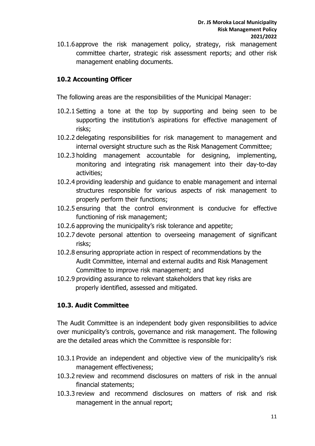10.1.6approve the risk management policy, strategy, risk management committee charter, strategic risk assessment reports; and other risk management enabling documents.

# **10.2 Accounting Officer**

The following areas are the responsibilities of the Municipal Manager:

- 10.2.1 Setting a tone at the top by supporting and being seen to be supporting the institution's aspirations for effective management of risks;
- 10.2.2 delegating responsibilities for risk management to management and internal oversight structure such as the Risk Management Committee;
- 10.2.3 holding management accountable for designing, implementing, monitoring and integrating risk management into their day-to-day activities;
- 10.2.4 providing leadership and guidance to enable management and internal structures responsible for various aspects of risk management to properly perform their functions;
- 10.2.5 ensuring that the control environment is conducive for effective functioning of risk management;
- 10.2.6 approving the municipality's risk tolerance and appetite;
- 10.2.7 devote personal attention to overseeing management of significant risks;
- 10.2.8 ensuring appropriate action in respect of recommendations by the Audit Committee, internal and external audits and Risk Management Committee to improve risk management; and
- 10.2.9 providing assurance to relevant stakeholders that key risks are properly identified, assessed and mitigated.

# **10.3. Audit Committee**

The Audit Committee is an independent body given responsibilities to advice over municipality's controls, governance and risk management. The following are the detailed areas which the Committee is responsible for:

- 10.3.1 Provide an independent and objective view of the municipality's risk management effectiveness;
- 10.3.2 review and recommend disclosures on matters of risk in the annual financial statements;
- 10.3.3 review and recommend disclosures on matters of risk and risk management in the annual report;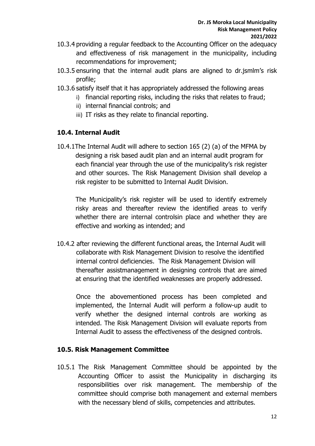- 10.3.4 providing a regular feedback to the Accounting Officer on the adequacy and effectiveness of risk management in the municipality, including recommendations for improvement;
- 10.3.5 ensuring that the internal audit plans are aligned to dr.jsmlm's risk profile;
- 10.3.6 satisfy itself that it has appropriately addressed the following areas
	- i) financial reporting risks, including the risks that relates to fraud;
	- ii) internal financial controls; and
	- iii) IT risks as they relate to financial reporting.

# **10.4. Internal Audit**

10.4.1The Internal Audit will adhere to section 165 (2) (a) of the MFMA by designing a risk based audit plan and an internal audit program for each financial year through the use of the municipality's risk register and other sources. The Risk Management Division shall develop a risk register to be submitted to Internal Audit Division.

The Municipality's risk register will be used to identify extremely risky areas and thereafter review the identified areas to verify whether there are internal controlsin place and whether they are effective and working as intended; and

10.4.2 after reviewing the different functional areas, the Internal Audit will collaborate with Risk Management Division to resolve the identified internal control deficiencies. The Risk Management Division will thereafter assistmanagement in designing controls that are aimed at ensuring that the identified weaknesses are properly addressed.

Once the abovementioned process has been completed and implemented, the Internal Audit will perform a follow-up audit to verify whether the designed internal controls are working as intended. The Risk Management Division will evaluate reports from Internal Audit to assess the effectiveness of the designed controls.

# **10.5. Risk Management Committee**

10.5.1 The Risk Management Committee should be appointed by the Accounting Officer to assist the Municipality in discharging its responsibilities over risk management. The membership of the committee should comprise both management and external members with the necessary blend of skills, competencies and attributes.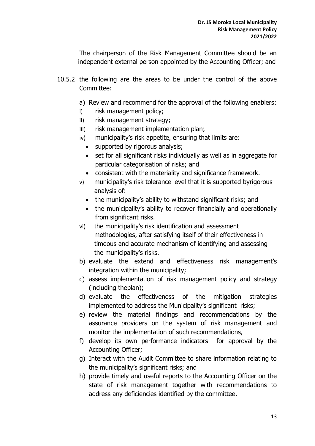The chairperson of the Risk Management Committee should be an independent external person appointed by the Accounting Officer; and

- 10.5.2 the following are the areas to be under the control of the above Committee:
	- a) Review and recommend for the approval of the following enablers:
	- i) risk management policy;
	- ii) risk management strategy;
	- iii) risk management implementation plan;
	- iv) municipality's risk appetite, ensuring that limits are:
		- supported by rigorous analysis;
		- set for all significant risks individually as well as in aggregate for particular categorisation of risks; and
		- consistent with the materiality and significance framework.
	- v) municipality's risk tolerance level that it is supported byrigorous analysis of:
		- the municipality's ability to withstand significant risks; and
		- the municipality's ability to recover financially and operationally from significant risks.
	- vi) the municipality's risk identification and assessment methodologies, after satisfying itself of their effectiveness in timeous and accurate mechanism of identifying and assessing the municipality's risks.
	- b) evaluate the extend and effectiveness risk management's integration within the municipality;
	- c) assess implementation of risk management policy and strategy (including theplan);
	- d) evaluate the effectiveness of the mitigation strategies implemented to address the Municipality's significant risks;
	- e) review the material findings and recommendations by the assurance providers on the system of risk management and monitor the implementation of such recommendations,
	- f) develop its own performance indicators for approval by the Accounting Officer;
	- g) Interact with the Audit Committee to share information relating to the municipality's significant risks; and
	- h) provide timely and useful reports to the Accounting Officer on the state of risk management together with recommendations to address any deficiencies identified by the committee.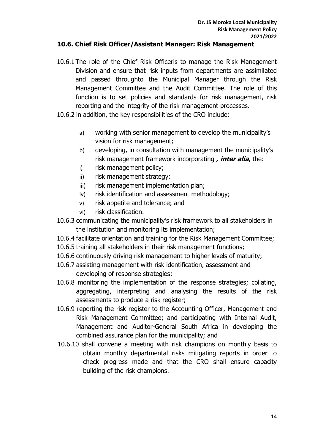#### **10.6. Chief Risk Officer/Assistant Manager: Risk Management**

- 10.6.1 The role of the Chief Risk Officeris to manage the Risk Management Division and ensure that risk inputs from departments are assimilated and passed throughto the Municipal Manager through the Risk Management Committee and the Audit Committee. The role of this function is to set policies and standards for risk management, risk reporting and the integrity of the risk management processes.
- 10.6.2 in addition, the key responsibilities of the CRO include:
	- a) working with senior management to develop the municipality's vision for risk management;
	- b) developing, in consultation with management the municipality's risk management framework incorporating **, inter alia**, the:
	- i) risk management policy;
	- ii) risk management strategy;
	- iii) risk management implementation plan;
	- iv) risk identification and assessment methodology;
	- v) risk appetite and tolerance; and
	- vi) risk classification.
- 10.6.3 communicating the municipality's risk framework to all stakeholders in the institution and monitoring its implementation;
- 10.6.4 facilitate orientation and training for the Risk Management Committee;
- 10.6.5 training all stakeholders in their risk management functions;
- 10.6.6 continuously driving risk management to higher levels of maturity;
- 10.6.7 assisting management with risk identification, assessment and developing of response strategies;
- 10.6.8 monitoring the implementation of the response strategies; collating, aggregating, interpreting and analysing the results of the risk assessments to produce a risk register;
- 10.6.9 reporting the risk register to the Accounting Officer, Management and Risk Management Committee; and participating with Internal Audit, Management and Auditor-General South Africa in developing the combined assurance plan for the municipality; and
- 10.6.10 shall convene a meeting with risk champions on monthly basis to obtain monthly departmental risks mitigating reports in order to check progress made and that the CRO shall ensure capacity building of the risk champions.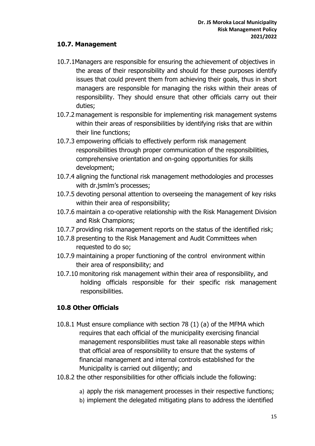#### **10.7. Management**

- 10.7.1Managers are responsible for ensuring the achievement of objectives in the areas of their responsibility and should for these purposes identify issues that could prevent them from achieving their goals, thus in short managers are responsible for managing the risks within their areas of responsibility. They should ensure that other officials carry out their duties;
- 10.7.2 management is responsible for implementing risk management systems within their areas of responsibilities by identifying risks that are within their line functions;
- 10.7.3 empowering officials to effectively perform risk management responsibilities through proper communication of the responsibilities, comprehensive orientation and on-going opportunities for skills development;
- 10.7.4 aligning the functional risk management methodologies and processes with dr.jsmlm's processes;
- 10.7.5 devoting personal attention to overseeing the management of key risks within their area of responsibility;
- 10.7.6 maintain a co-operative relationship with the Risk Management Division and Risk Champions;
- 10.7.7 providing risk management reports on the status of the identified risk;
- 10.7.8 presenting to the Risk Management and Audit Committees when requested to do so;
- 10.7.9 maintaining a proper functioning of the control environment within their area of responsibility; and
- 10.7.10 monitoring risk management within their area of responsibility, and holding officials responsible for their specific risk management responsibilities.

# **10.8 Other Officials**

- 10.8.1 Must ensure compliance with section 78 (1) (a) of the MFMA which requires that each official of the municipality exercising financial management responsibilities must take all reasonable steps within that official area of responsibility to ensure that the systems of financial management and internal controls established for the Municipality is carried out diligently; and
- 10.8.2 the other responsibilities for other officials include the following:
	- a) apply the risk management processes in their respective functions;
	- b) implement the delegated mitigating plans to address the identified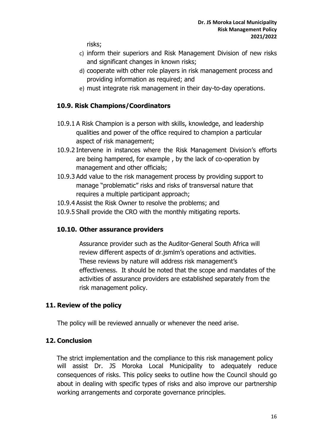risks;

- c) inform their superiors and Risk Management Division of new risks and significant changes in known risks;
- d) cooperate with other role players in risk management process and providing information as required; and
- e) must integrate risk management in their day-to-day operations.

# **10.9. Risk Champions/Coordinators**

- 10.9.1 A Risk Champion is a person with skills, knowledge, and leadership qualities and power of the office required to champion a particular aspect of risk management;
- 10.9.2 Intervene in instances where the Risk Management Division's efforts are being hampered, for example , by the lack of co-operation by management and other officials;
- 10.9.3 Add value to the risk management process by providing support to manage "problematic" risks and risks of transversal nature that requires a multiple participant approach;
- 10.9.4 Assist the Risk Owner to resolve the problems; and
- 10.9.5 Shall provide the CRO with the monthly mitigating reports.

# **10.10. Other assurance providers**

Assurance provider such as the Auditor-General South Africa will review different aspects of dr.jsmlm's operations and activities. These reviews by nature will address risk management's effectiveness. It should be noted that the scope and mandates of the activities of assurance providers are established separately from the risk management policy.

# **11. Review of the policy**

The policy will be reviewed annually or whenever the need arise.

# **12. Conclusion**

The strict implementation and the compliance to this risk management policy will assist Dr. JS Moroka Local Municipality to adequately reduce consequences of risks. This policy seeks to outline how the Council should go about in dealing with specific types of risks and also improve our partnership working arrangements and corporate governance principles.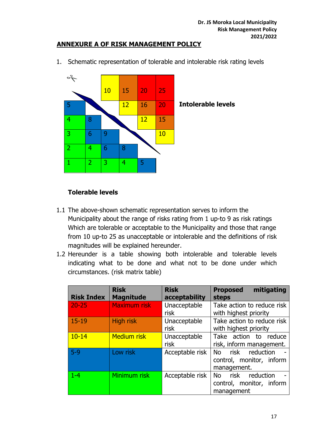# **ANNEXURE A OF RISK MANAGEMENT POLICY**

- $\overline{\mathscr{J}}$ 10 15 20 25 **Intolerable levels** 5 20 4 8 2 12 15 3 6 9 10 2 | 4 | 6 | 8  $1 \t| 2 \t| 3 \t| 4 \t| 5$
- 1. Schematic representation of tolerable and intolerable risk rating levels

#### **Tolerable levels**

- 1.1 The above-shown schematic representation serves to inform the Municipality about the range of risks rating from 1 up-to 9 as risk ratings Which are tolerable or acceptable to the Municipality and those that range from 10 up-to 25 as unacceptable or intolerable and the definitions of risk magnitudes will be explained hereunder.
- 1.2 Hereunder is a table showing both intolerable and tolerable levels indicating what to be done and what not to be done under which circumstances. (risk matrix table)

| <b>Risk Index</b> | <b>Risk</b><br><b>Magnitude</b> | <b>Risk</b><br>acceptability | mitigating<br><b>Proposed</b><br>steps                       |
|-------------------|---------------------------------|------------------------------|--------------------------------------------------------------|
| $20 - 25$         | Maximum risk                    | Unacceptable<br>risk         | Take action to reduce risk<br>with highest priority          |
| $15 - 19$         | <b>High risk</b>                | Unacceptable<br>risk         | Take action to reduce risk<br>with highest priority          |
| $10 - 14$         | <b>Medium risk</b>              | Unacceptable<br>risk         | Take action to reduce<br>risk, inform management.            |
| $5-9$             | Low risk                        | Acceptable risk              | No risk reduction<br>control, monitor, inform<br>management. |
| $1 - 4$           | Minimum risk                    | Acceptable risk              | No risk reduction<br>control, monitor, inform<br>management  |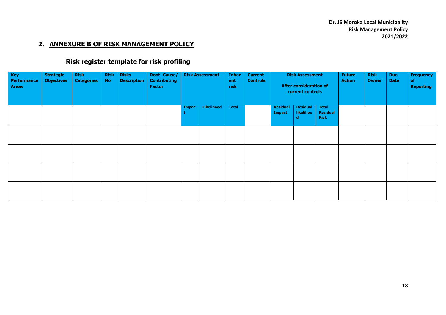**Dr. JS Moroka Local Municipality Risk Management Policy 2021/2022**

# **2. ANNEXURE B OF RISK MANAGEMENT POLICY**

# **Risk register template for risk profiling**

| Key<br>Performance<br><b>Areas</b> | <b>Strategic</b><br><b>Objectives</b> | <b>Risk</b><br><b>Categories</b> | <b>Risk</b><br><b>No</b> | <b>Risks</b><br><b>Description</b> | Root Cause/<br><b>Contributing</b><br><b>Factor</b> | <b>Risk Assessment</b> |            | <b>Inher</b><br>ent<br>risk | <b>Current</b><br><b>Controls</b> | <b>Risk Assessment</b><br><b>After consideration of</b><br>current controls |                              | <b>Future</b><br><b>Action</b>                 | <b>Risk</b><br><b>Owner</b> | <b>Due</b><br><b>Date</b> | <b>Frequency</b><br><b>of</b><br><b>Reporting</b> |  |
|------------------------------------|---------------------------------------|----------------------------------|--------------------------|------------------------------------|-----------------------------------------------------|------------------------|------------|-----------------------------|-----------------------------------|-----------------------------------------------------------------------------|------------------------------|------------------------------------------------|-----------------------------|---------------------------|---------------------------------------------------|--|
|                                    |                                       |                                  |                          |                                    |                                                     | <b>Impac</b>           | Likelihood | <b>Total</b>                |                                   | <b>Residual</b><br><b>Impact</b>                                            | <b>Residual</b><br>likelihoo | <b>Total</b><br><b>Residual</b><br><b>Risk</b> |                             |                           |                                                   |  |
|                                    |                                       |                                  |                          |                                    |                                                     |                        |            |                             |                                   |                                                                             |                              |                                                |                             |                           |                                                   |  |
|                                    |                                       |                                  |                          |                                    |                                                     |                        |            |                             |                                   |                                                                             |                              |                                                |                             |                           |                                                   |  |
|                                    |                                       |                                  |                          |                                    |                                                     |                        |            |                             |                                   |                                                                             |                              |                                                |                             |                           |                                                   |  |
|                                    |                                       |                                  |                          |                                    |                                                     |                        |            |                             |                                   |                                                                             |                              |                                                |                             |                           |                                                   |  |